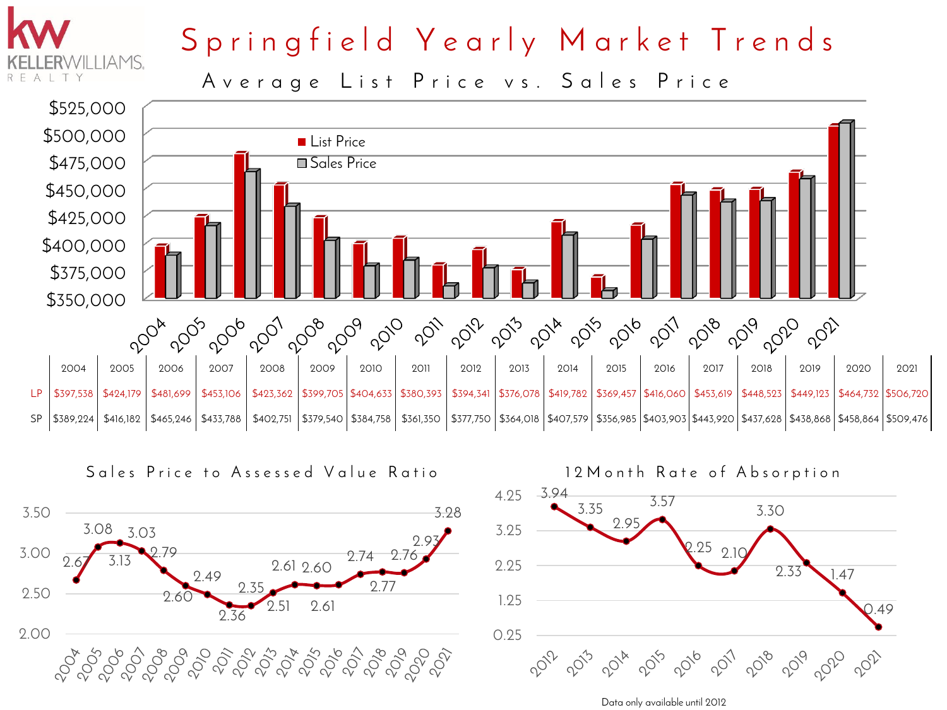

## Springfield Yearly Market Trends

Average List Price vs. Sales Price



![](_page_0_Figure_4.jpeg)

![](_page_0_Figure_5.jpeg)

Data only available until 2012